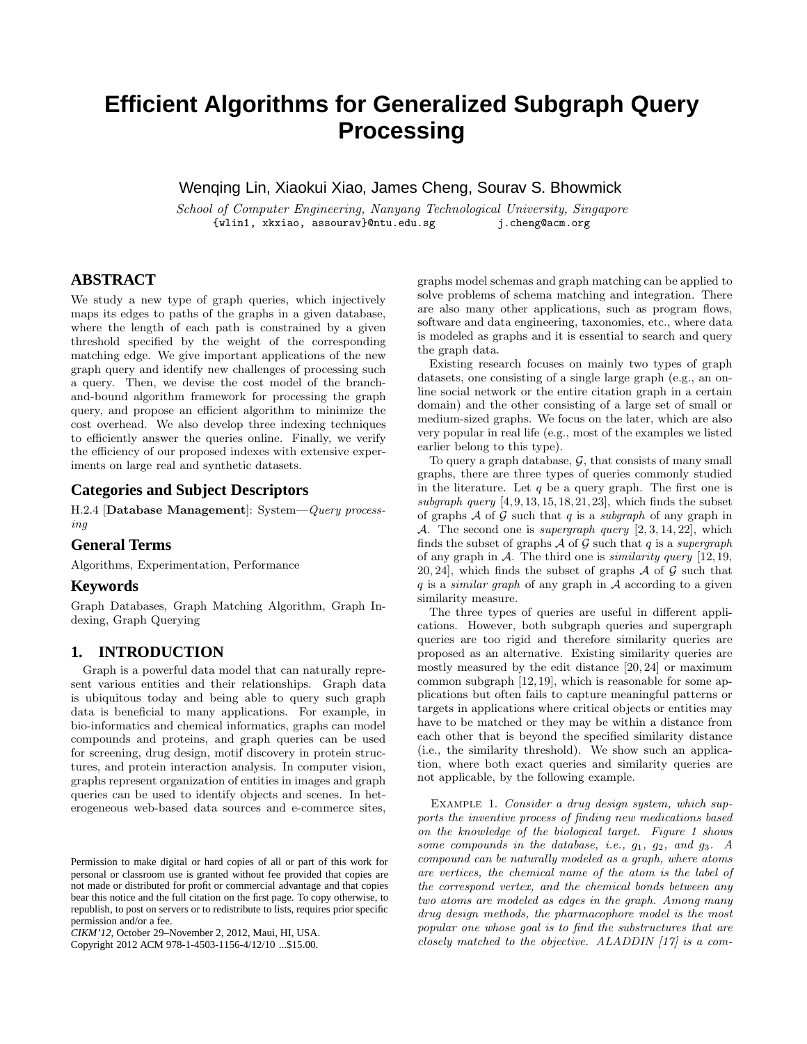# **Efficient Algorithms for Generalized Subgraph Query Processing**

Wenqing Lin, Xiaokui Xiao, James Cheng, Sourav S. Bhowmick

*School of Computer Engineering, Nanyang Technological University, Singapore* {wlin1, xkxiao, assourav}@ntu.edu.sg j.cheng@acm.org

# **ABSTRACT**

We study a new type of graph queries, which injectively maps its edges to paths of the graphs in a given database, where the length of each path is constrained by a given threshold specified by the weight of the corresponding matching edge. We give important applications of the new graph query and identify new challenges of processing such a query. Then, we devise the cost model of the branchand-bound algorithm framework for processing the graph query, and propose an efficient algorithm to minimize the cost overhead. We also develop three indexing techniques to efficiently answer the queries online. Finally, we verify the efficiency of our proposed indexes with extensive experiments on large real and synthetic datasets.

## **Categories and Subject Descriptors**

H.2.4 [**Database Management**]: System—*Query processing*

#### **General Terms**

Algorithms, Experimentation, Performance

#### **Keywords**

Graph Databases, Graph Matching Algorithm, Graph Indexing, Graph Querying

# **1. INTRODUCTION**

Graph is a powerful data model that can naturally represent various entities and their relationships. Graph data is ubiquitous today and being able to query such graph data is beneficial to many applications. For example, in bio-informatics and chemical informatics, graphs can model compounds and proteins, and graph queries can be used for screening, drug design, motif discovery in protein structures, and protein interaction analysis. In computer vision, graphs represent organization of entities in images and graph queries can be used to identify objects and scenes. In heterogeneous web-based data sources and e-commerce sites,

Copyright 2012 ACM 978-1-4503-1156-4/12/10 ...\$15.00.

graphs model schemas and graph matching can be applied to solve problems of schema matching and integration. There are also many other applications, such as program flows, software and data engineering, taxonomies, etc., where data is modeled as graphs and it is essential to search and query the graph data.

Existing research focuses on mainly two types of graph datasets, one consisting of a single large graph (e.g., an online social network or the entire citation graph in a certain domain) and the other consisting of a large set of small or medium-sized graphs. We focus on the later, which are also very popular in real life (e.g., most of the examples we listed earlier belong to this type).

To query a graph database,  $G$ , that consists of many small graphs, there are three types of queries commonly studied in the literature. Let  $q$  be a query graph. The first one is *subgraph query* [4, 9, 13, 15, 18, 21, 23], which finds the subset of graphs A of G such that q is a *subgraph* of any graph in A. The second one is *supergraph query* [2, 3, 14, 22], which finds the subset of graphs  $\mathcal A$  of  $\mathcal G$  such that q is a *supergraph* of any graph in A. The third one is *similarity query* [12, 19, 20, 24], which finds the subset of graphs  $\mathcal A$  of  $\mathcal G$  such that q is a *similar graph* of any graph in A according to a given similarity measure.

The three types of queries are useful in different applications. However, both subgraph queries and supergraph queries are too rigid and therefore similarity queries are proposed as an alternative. Existing similarity queries are mostly measured by the edit distance [20, 24] or maximum common subgraph [12, 19], which is reasonable for some applications but often fails to capture meaningful patterns or targets in applications where critical objects or entities may have to be matched or they may be within a distance from each other that is beyond the specified similarity distance (i.e., the similarity threshold). We show such an application, where both exact queries and similarity queries are not applicable, by the following example.

Example 1. *Consider a drug design system, which supports the inventive process of finding new medications based on the knowledge of the biological target. Figure 1 shows some compounds in the database, i.e.,* g1*,* g2*, and* g3*. A compound can be naturally modeled as a graph, where atoms are vertices, the chemical name of the atom is the label of the correspond vertex, and the chemical bonds between any two atoms are modeled as edges in the graph. Among many drug design methods, the pharmacophore model is the most popular one whose goal is to find the substructures that are closely matched to the objective. ALADDIN [17] is a com-*

Permission to make digital or hard copies of all or part of this work for personal or classroom use is granted without fee provided that copies are not made or distributed for profit or commercial advantage and that copies bear this notice and the full citation on the first page. To copy otherwise, to republish, to post on servers or to redistribute to lists, requires prior specific permission and/or a fee.

*CIKM'12,* October 29–November 2, 2012, Maui, HI, USA.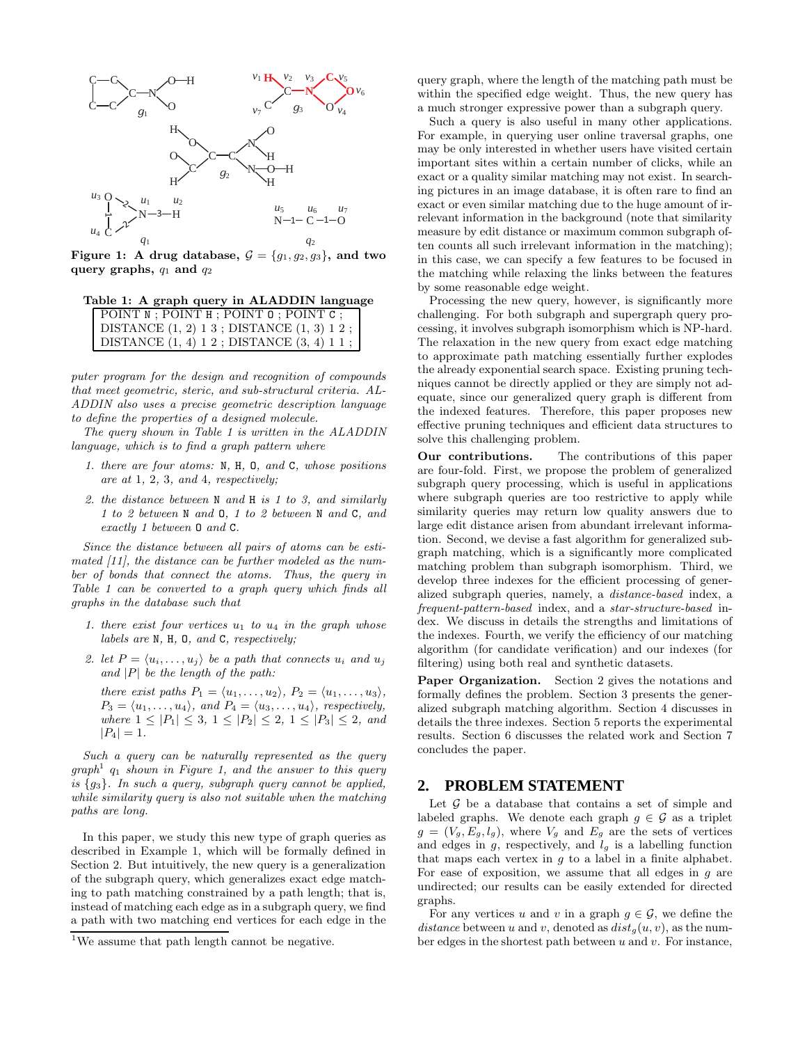

**Figure 1:** A drug database,  $\mathcal{G} = \{g_1, g_2, g_3\}$ , and two **query graphs,**  $q_1$  **and**  $q_2$ 

|  |  |  |  |  | Table 1: A graph query in ALADDIN language |  |
|--|--|--|--|--|--------------------------------------------|--|
|--|--|--|--|--|--------------------------------------------|--|

| DISTANCE $(1, 2)$ 1 3 ; DISTANCE $(1, 3)$ 1 2 ;<br>DISTANCE $(1, 4)$ 1 2; DISTANCE $(3, 4)$ 1 1; | POINT N : POINT H : POINT 0 : POINT C : |
|--------------------------------------------------------------------------------------------------|-----------------------------------------|
|                                                                                                  |                                         |
|                                                                                                  |                                         |

*puter program for the design and recognition of compounds that meet geometric, steric, and sub-structural criteria. AL-ADDIN also uses a precise geometric description language to define the properties of a designed molecule.*

*The query shown in Table 1 is written in the ALADDIN language, which is to find a graph pattern where*

- *1. there are four atoms:* N*,* H*,* O*, and* C*, whose positions are at* 1*,* 2*,* 3*, and* 4*, respectively;*
- *2. the distance between* N *and* H *is 1 to 3, and similarly 1 to 2 between* N *and* O*, 1 to 2 between* N *and* C*, and exactly 1 between* O *and* C*.*

*Since the distance between all pairs of atoms can be estimated [11], the distance can be further modeled as the number of bonds that connect the atoms. Thus, the query in Table 1 can be converted to a graph query which finds all graphs in the database such that*

- *1. there exist four vertices*  $u_1$  *to*  $u_4$  *in the graph whose labels are* N*,* H*,* O*, and* C*, respectively;*
- 2. let  $P = \langle u_i, \ldots, u_j \rangle$  be a path that connects  $u_i$  and  $u_j$ *and* |P| *be the length of the path:*

*there exist paths*  $P_1 = \langle u_1, \ldots, u_2 \rangle$ ,  $P_2 = \langle u_1, \ldots, u_3 \rangle$ ,  $P_3 = \langle u_1, \ldots, u_4 \rangle$ , and  $P_4 = \langle u_3, \ldots, u_4 \rangle$ , respectively, *where*  $1 \leq |P_1| \leq 3, \ 1 \leq |P_2| \leq 2, \ 1 \leq |P_3| \leq 2, \ and$  $|P_4| = 1.$ 

*Such a query can be naturally represented as the query*  $graph<sup>1</sup>$  q<sub>1</sub> *shown in Figure 1, and the answer to this query is* {g3}*. In such a query, subgraph query cannot be applied, while similarity query is also not suitable when the matching paths are long.*

In this paper, we study this new type of graph queries as described in Example 1, which will be formally defined in Section 2. But intuitively, the new query is a generalization of the subgraph query, which generalizes exact edge matching to path matching constrained by a path length; that is, instead of matching each edge as in a subgraph query, we find a path with two matching end vertices for each edge in the

query graph, where the length of the matching path must be within the specified edge weight. Thus, the new query has a much stronger expressive power than a subgraph query.

Such a query is also useful in many other applications. For example, in querying user online traversal graphs, one may be only interested in whether users have visited certain important sites within a certain number of clicks, while an exact or a quality similar matching may not exist. In searching pictures in an image database, it is often rare to find an exact or even similar matching due to the huge amount of irrelevant information in the background (note that similarity measure by edit distance or maximum common subgraph often counts all such irrelevant information in the matching); in this case, we can specify a few features to be focused in the matching while relaxing the links between the features by some reasonable edge weight.

Processing the new query, however, is significantly more challenging. For both subgraph and supergraph query processing, it involves subgraph isomorphism which is NP-hard. The relaxation in the new query from exact edge matching to approximate path matching essentially further explodes the already exponential search space. Existing pruning techniques cannot be directly applied or they are simply not adequate, since our generalized query graph is different from the indexed features. Therefore, this paper proposes new effective pruning techniques and efficient data structures to solve this challenging problem.

**Our contributions.** The contributions of this paper are four-fold. First, we propose the problem of generalized subgraph query processing, which is useful in applications where subgraph queries are too restrictive to apply while similarity queries may return low quality answers due to large edit distance arisen from abundant irrelevant information. Second, we devise a fast algorithm for generalized subgraph matching, which is a significantly more complicated matching problem than subgraph isomorphism. Third, we develop three indexes for the efficient processing of generalized subgraph queries, namely, a *distance-based* index, a *frequent-pattern-based* index, and a *star-structure-based* index. We discuss in details the strengths and limitations of the indexes. Fourth, we verify the efficiency of our matching algorithm (for candidate verification) and our indexes (for filtering) using both real and synthetic datasets.

Paper Organization. Section 2 gives the notations and formally defines the problem. Section 3 presents the generalized subgraph matching algorithm. Section 4 discusses in details the three indexes. Section 5 reports the experimental results. Section 6 discusses the related work and Section 7 concludes the paper.

# **2. PROBLEM STATEMENT**

Let  $G$  be a database that contains a set of simple and labeled graphs. We denote each graph  $g \in \mathcal{G}$  as a triplet  $g = (V_g, E_g, l_g)$ , where  $V_g$  and  $E_g$  are the sets of vertices and edges in  $g$ , respectively, and  $l_g$  is a labelling function that maps each vertex in  $q$  to a label in a finite alphabet. For ease of exposition, we assume that all edges in  $q$  are undirected; our results can be easily extended for directed graphs.

For any vertices u and v in a graph  $g \in \mathcal{G}$ , we define the distance between u and v, denoted as  $dist<sub>g</sub>(u, v)$ , as the number edges in the shortest path between  $u$  and  $v$ . For instance,

 $^{\rm 1}{\rm We}$  assume that path length cannot be negative.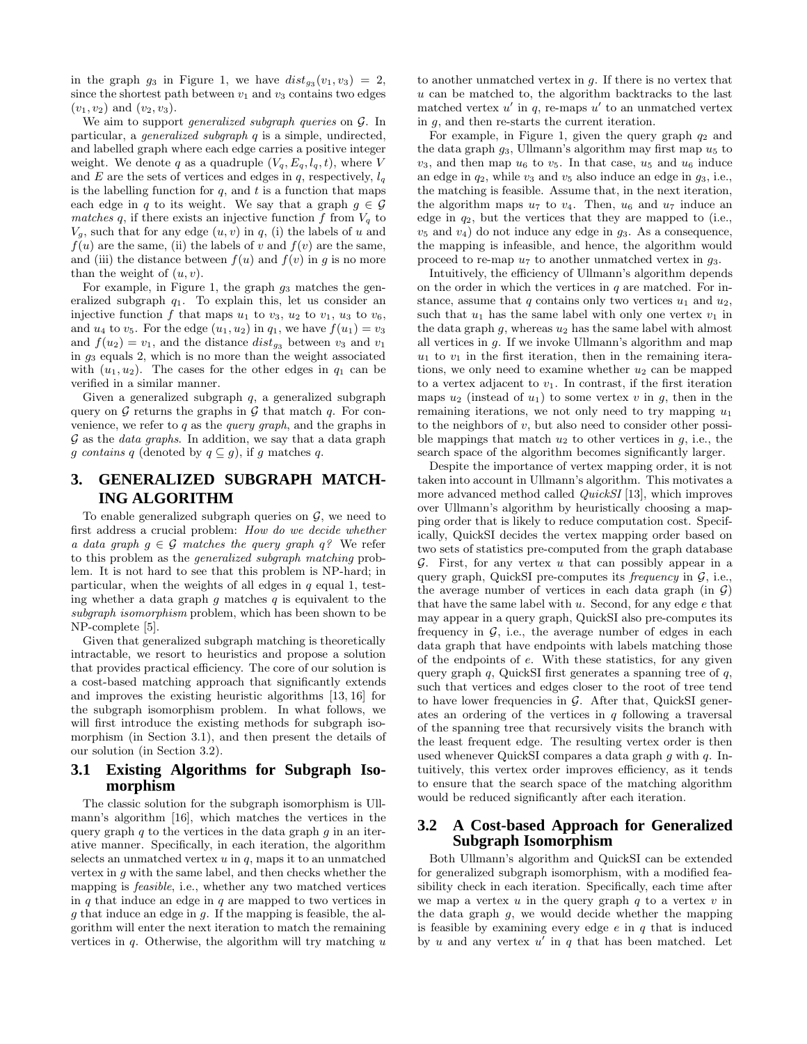in the graph  $g_3$  in Figure 1, we have  $dist_{g_3}(v_1, v_3) = 2$ , since the shortest path between  $v_1$  and  $v_3$  contains two edges  $(v_1, v_2)$  and  $(v_2, v_3)$ .

We aim to support *generalized subgraph queries* on G. In particular, a *generalized subgraph* q is a simple, undirected, and labelled graph where each edge carries a positive integer weight. We denote q as a quadruple  $(V_q, E_q, l_q, t)$ , where V and E are the sets of vertices and edges in q, respectively,  $l_q$ is the labelling function for  $q$ , and  $t$  is a function that maps each edge in q to its weight. We say that a graph  $g \in \mathcal{G}$ *matches* q, if there exists an injective function f from  $V_q$  to  $V_g$ , such that for any edge  $(u, v)$  in q, (i) the labels of u and  $f(u)$  are the same, (ii) the labels of v and  $f(v)$  are the same, and (iii) the distance between  $f(u)$  and  $f(v)$  in g is no more than the weight of  $(u, v)$ .

For example, in Figure 1, the graph  $g_3$  matches the generalized subgraph  $q_1$ . To explain this, let us consider an injective function f that maps  $u_1$  to  $v_3$ ,  $u_2$  to  $v_1$ ,  $u_3$  to  $v_6$ , and  $u_4$  to  $v_5$ . For the edge  $(u_1, u_2)$  in  $q_1$ , we have  $f(u_1) = v_3$ and  $f(u_2) = v_1$ , and the distance  $dist_{g_3}$  between  $v_3$  and  $v_1$ in  $g_3$  equals 2, which is no more than the weight associated with  $(u_1, u_2)$ . The cases for the other edges in  $q_1$  can be verified in a similar manner.

Given a generalized subgraph q, a generalized subgraph query on  $G$  returns the graphs in  $G$  that match  $q$ . For convenience, we refer to q as the *query graph*, and the graphs in G as the *data graphs*. In addition, we say that a data graph g *contains* q (denoted by  $q \subseteq g$ ), if g matches q.

# **3. GENERALIZED SUBGRAPH MATCH-ING ALGORITHM**

To enable generalized subgraph queries on  $\mathcal{G}$ , we need to first address a crucial problem: *How do we decide whether a data graph*  $g \in \mathcal{G}$  *matches the query graph*  $g$ ? We refer to this problem as the *generalized subgraph matching* problem. It is not hard to see that this problem is NP-hard; in particular, when the weights of all edges in  $q$  equal 1, testing whether a data graph q matches q is equivalent to the *subgraph isomorphism* problem, which has been shown to be NP-complete [5].

Given that generalized subgraph matching is theoretically intractable, we resort to heuristics and propose a solution that provides practical efficiency. The core of our solution is a cost-based matching approach that significantly extends and improves the existing heuristic algorithms [13, 16] for the subgraph isomorphism problem. In what follows, we will first introduce the existing methods for subgraph isomorphism (in Section 3.1), and then present the details of our solution (in Section 3.2).

# **3.1 Existing Algorithms for Subgraph Isomorphism**

The classic solution for the subgraph isomorphism is Ullmann's algorithm [16], which matches the vertices in the query graph  $q$  to the vertices in the data graph  $q$  in an iterative manner. Specifically, in each iteration, the algorithm selects an unmatched vertex  $u$  in  $q$ , maps it to an unmatched vertex in g with the same label, and then checks whether the mapping is *feasible*, i.e., whether any two matched vertices in  $q$  that induce an edge in  $q$  are mapped to two vertices in  $g$  that induce an edge in  $g$ . If the mapping is feasible, the algorithm will enter the next iteration to match the remaining vertices in  $q$ . Otherwise, the algorithm will try matching  $u$ 

to another unmatched vertex in g. If there is no vertex that  $u$  can be matched to, the algorithm backtracks to the last matched vertex  $u'$  in q, re-maps  $u'$  to an unmatched vertex in  $q$ , and then re-starts the current iteration.

For example, in Figure 1, given the query graph  $q_2$  and the data graph  $q_3$ , Ullmann's algorithm may first map  $u_5$  to  $v_3$ , and then map  $u_6$  to  $v_5$ . In that case,  $u_5$  and  $u_6$  induce an edge in  $q_2$ , while  $v_3$  and  $v_5$  also induce an edge in  $q_3$ , i.e., the matching is feasible. Assume that, in the next iteration, the algorithm maps  $u_7$  to  $v_4$ . Then,  $u_6$  and  $u_7$  induce an edge in  $q_2$ , but the vertices that they are mapped to (i.e.,  $v_5$  and  $v_4$ ) do not induce any edge in  $g_3$ . As a consequence, the mapping is infeasible, and hence, the algorithm would proceed to re-map  $u_7$  to another unmatched vertex in  $g_3$ .

Intuitively, the efficiency of Ullmann's algorithm depends on the order in which the vertices in  $q$  are matched. For instance, assume that q contains only two vertices  $u_1$  and  $u_2$ , such that  $u_1$  has the same label with only one vertex  $v_1$  in the data graph  $g$ , whereas  $u_2$  has the same label with almost all vertices in g. If we invoke Ullmann's algorithm and map  $u_1$  to  $v_1$  in the first iteration, then in the remaining iterations, we only need to examine whether  $u_2$  can be mapped to a vertex adjacent to  $v_1$ . In contrast, if the first iteration maps  $u_2$  (instead of  $u_1$ ) to some vertex v in q, then in the remaining iterations, we not only need to try mapping  $u_1$ to the neighbors of v, but also need to consider other possible mappings that match  $u_2$  to other vertices in  $q$ , i.e., the search space of the algorithm becomes significantly larger.

Despite the importance of vertex mapping order, it is not taken into account in Ullmann's algorithm. This motivates a more advanced method called *QuickSI* [13], which improves over Ullmann's algorithm by heuristically choosing a mapping order that is likely to reduce computation cost. Specifically, QuickSI decides the vertex mapping order based on two sets of statistics pre-computed from the graph database  $G.$  First, for any vertex u that can possibly appear in a query graph, QuickSI pre-computes its *frequency* in G, i.e., the average number of vertices in each data graph (in  $\mathcal{G}$ ) that have the same label with  $u$ . Second, for any edge  $e$  that may appear in a query graph, QuickSI also pre-computes its frequency in  $G$ , i.e., the average number of edges in each data graph that have endpoints with labels matching those of the endpoints of e. With these statistics, for any given query graph  $q$ , QuickSI first generates a spanning tree of  $q$ , such that vertices and edges closer to the root of tree tend to have lower frequencies in  $G$ . After that, QuickSI generates an ordering of the vertices in  $q$  following a traversal of the spanning tree that recursively visits the branch with the least frequent edge. The resulting vertex order is then used whenever QuickSI compares a data graph  $g$  with  $q$ . Intuitively, this vertex order improves efficiency, as it tends to ensure that the search space of the matching algorithm would be reduced significantly after each iteration.

# **3.2 A Cost-based Approach for Generalized Subgraph Isomorphism**

Both Ullmann's algorithm and QuickSI can be extended for generalized subgraph isomorphism, with a modified feasibility check in each iteration. Specifically, each time after we map a vertex  $u$  in the query graph  $q$  to a vertex  $v$  in the data graph g, we would decide whether the mapping is feasible by examining every edge  $e$  in  $q$  that is induced by u and any vertex  $u'$  in q that has been matched. Let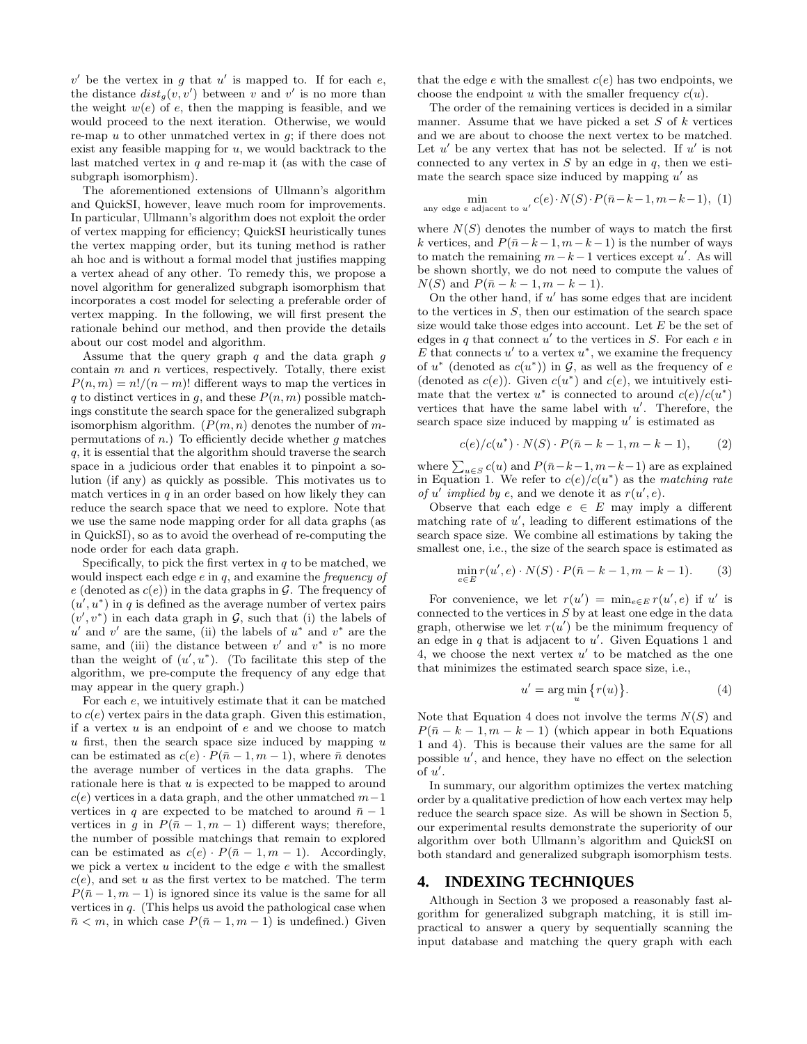$v'$  be the vertex in g that u' is mapped to. If for each e, the distance  $dist_g(v, v')$  between v and v' is no more than the weight  $w(e)$  of e, then the mapping is feasible, and we would proceed to the next iteration. Otherwise, we would re-map  $u$  to other unmatched vertex in  $q$ ; if there does not exist any feasible mapping for  $u$ , we would backtrack to the last matched vertex in  $q$  and re-map it (as with the case of subgraph isomorphism).

The aforementioned extensions of Ullmann's algorithm and QuickSI, however, leave much room for improvements. In particular, Ullmann's algorithm does not exploit the order of vertex mapping for efficiency; QuickSI heuristically tunes the vertex mapping order, but its tuning method is rather ah hoc and is without a formal model that justifies mapping a vertex ahead of any other. To remedy this, we propose a novel algorithm for generalized subgraph isomorphism that incorporates a cost model for selecting a preferable order of vertex mapping. In the following, we will first present the rationale behind our method, and then provide the details about our cost model and algorithm.

Assume that the query graph  $q$  and the data graph  $q$ contain  $m$  and  $n$  vertices, respectively. Totally, there exist  $P(n, m) = n!/(n - m)!$  different ways to map the vertices in q to distinct vertices in g, and these  $P(n, m)$  possible matchings constitute the search space for the generalized subgraph isomorphism algorithm.  $(P(m, n)$  denotes the number of mpermutations of n.) To efficiently decide whether q matches q, it is essential that the algorithm should traverse the search space in a judicious order that enables it to pinpoint a solution (if any) as quickly as possible. This motivates us to match vertices in  $q$  in an order based on how likely they can reduce the search space that we need to explore. Note that we use the same node mapping order for all data graphs (as in QuickSI), so as to avoid the overhead of re-computing the node order for each data graph.

Specifically, to pick the first vertex in  $q$  to be matched, we would inspect each edge e in q, and examine the *frequency of* e (denoted as  $c(e)$ ) in the data graphs in G. The frequency of  $(u', u^*)$  in q is defined as the average number of vertex pairs  $(v', v^*)$  in each data graph in G, such that (i) the labels of  $u'$  and  $v'$  are the same, (ii) the labels of  $u^*$  and  $v^*$  are the same, and (iii) the distance between  $v'$  and  $v^*$  is no more than the weight of  $(u', u^*)$ . (To facilitate this step of the algorithm, we pre-compute the frequency of any edge that may appear in the query graph.)

For each e, we intuitively estimate that it can be matched to  $c(e)$  vertex pairs in the data graph. Given this estimation, if a vertex  $u$  is an endpoint of  $e$  and we choose to match  $u$  first, then the search space size induced by mapping  $u$ can be estimated as  $c(e) \cdot P(\bar{n}-1, m-1)$ , where  $\bar{n}$  denotes the average number of vertices in the data graphs. The rationale here is that  $u$  is expected to be mapped to around  $c(e)$  vertices in a data graph, and the other unmatched  $m-1$ vertices in q are expected to be matched to around  $\bar{n} - 1$ vertices in q in  $P(\bar{n} - 1, m - 1)$  different ways; therefore, the number of possible matchings that remain to explored can be estimated as  $c(e) \cdot P(\bar{n} - 1, m - 1)$ . Accordingly, we pick a vertex  $u$  incident to the edge  $e$  with the smallest  $c(e)$ , and set u as the first vertex to be matched. The term  $P(\bar{n}-1, m-1)$  is ignored since its value is the same for all vertices in  $q$ . (This helps us avoid the pathological case when  $\bar{n} < m$ , in which case  $P(\bar{n} - 1, m - 1)$  is undefined.) Given

that the edge  $e$  with the smallest  $c(e)$  has two endpoints, we choose the endpoint u with the smaller frequency  $c(u)$ .

The order of the remaining vertices is decided in a similar manner. Assume that we have picked a set  $S$  of  $k$  vertices and we are about to choose the next vertex to be matched. Let  $u'$  be any vertex that has not be selected. If  $u'$  is not connected to any vertex in  $S$  by an edge in  $q$ , then we estimate the search space size induced by mapping  $u'$  as

$$
\min_{\text{any edge } e \text{ adjacent to } u'} c(e) \cdot N(S) \cdot P(\bar{n} - k - 1, m - k - 1), (1)
$$

where  $N(S)$  denotes the number of ways to match the first k vertices, and  $P(\bar{n}-k-1, m-k-1)$  is the number of ways to match the remaining  $m-k-1$  vertices except u'. As will be shown shortly, we do not need to compute the values of  $N(S)$  and  $P(\bar{n} - k - 1, m - k - 1)$ .

On the other hand, if  $u'$  has some edges that are incident to the vertices in S, then our estimation of the search space size would take those edges into account. Let  $E$  be the set of edges in q that connect  $u'$  to the vertices in S. For each  $e$  in E that connects  $u'$  to a vertex  $u^*$ , we examine the frequency of  $u^*$  (denoted as  $c(u^*)$ ) in  $\mathcal{G}$ , as well as the frequency of  $e$ (denoted as  $c(e)$ ). Given  $c(u^*)$  and  $c(e)$ , we intuitively estimate that the vertex  $u^*$  is connected to around  $c(e)/c(u^*)$ vertices that have the same label with  $u'$ . Therefore, the search space size induced by mapping  $u'$  is estimated as

$$
c(e)/c(u^*) \cdot N(S) \cdot P(\bar{n} - k - 1, m - k - 1), \qquad (2)
$$

where  $\sum_{u \in S} c(u)$  and  $P(\bar{n}-k-1, m-k-1)$  are as explained in Equation 1. We refer to  $c(e)/c(u^*)$  as the *matching rate of* u' *implied by* e, and we denote it as  $r(u', e)$ .

Observe that each edge  $e \in E$  may imply a different matching rate of  $u'$ , leading to different estimations of the search space size. We combine all estimations by taking the smallest one, i.e., the size of the search space is estimated as

$$
\min_{e \in E} r(u', e) \cdot N(S) \cdot P(\bar{n} - k - 1, m - k - 1).
$$
 (3)

For convenience, we let  $r(u') = \min_{e \in E} r(u', e)$  if u' is connected to the vertices in  $S$  by at least one edge in the data graph, otherwise we let  $r(u')$  be the minimum frequency of an edge in q that is adjacent to  $u'$ . Given Equations 1 and 4, we choose the next vertex  $u'$  to be matched as the one that minimizes the estimated search space size, i.e.,

$$
u' = \arg\min_{u} \{r(u)\}.
$$
 (4)

Note that Equation 4 does not involve the terms  $N(S)$  and  $P(\bar{n} - k - 1, m - k - 1)$  (which appear in both Equations 1 and 4). This is because their values are the same for all possible  $u'$ , and hence, they have no effect on the selection of  $u'$ .

In summary, our algorithm optimizes the vertex matching order by a qualitative prediction of how each vertex may help reduce the search space size. As will be shown in Section 5, our experimental results demonstrate the superiority of our algorithm over both Ullmann's algorithm and QuickSI on both standard and generalized subgraph isomorphism tests.

## **4. INDEXING TECHNIQUES**

Although in Section 3 we proposed a reasonably fast algorithm for generalized subgraph matching, it is still impractical to answer a query by sequentially scanning the input database and matching the query graph with each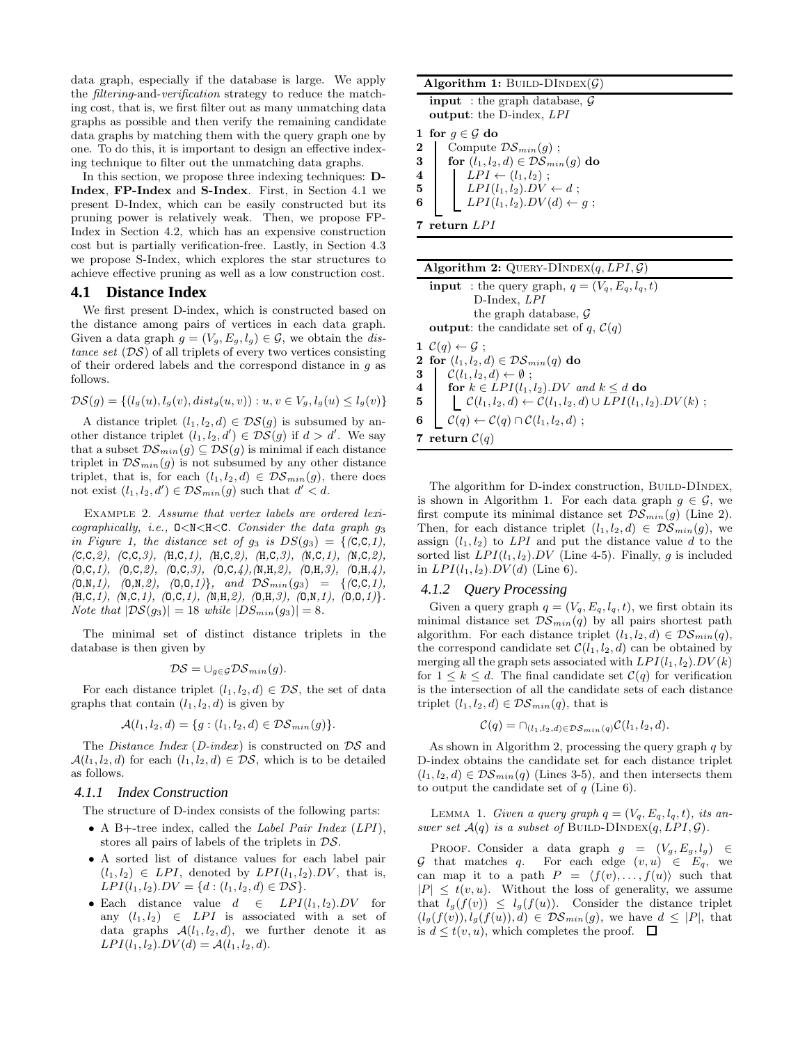data graph, especially if the database is large. We apply the *filtering*-and-*verification* strategy to reduce the matching cost, that is, we first filter out as many unmatching data graphs as possible and then verify the remaining candidate data graphs by matching them with the query graph one by one. To do this, it is important to design an effective indexing technique to filter out the unmatching data graphs.

In this section, we propose three indexing techniques: **D-Index**, **FP-Index** and **S-Index**. First, in Section 4.1 we present D-Index, which can be easily constructed but its pruning power is relatively weak. Then, we propose FP-Index in Section 4.2, which has an expensive construction cost but is partially verification-free. Lastly, in Section 4.3 we propose S-Index, which explores the star structures to achieve effective pruning as well as a low construction cost.

#### **4.1 Distance Index**

We first present D-index, which is constructed based on the distance among pairs of vertices in each data graph. Given a data graph  $g = (V_g, E_g, l_g) \in \mathcal{G}$ , we obtain the *distance set* ( $DS$ ) of all triplets of every two vertices consisting of their ordered labels and the correspond distance in g as follows.

$$
\mathcal{DS}(g) = \{ (l_g(u), l_g(v), dist_g(u, v)) : u, v \in V_g, l_g(u) \le l_g(v) \}
$$

A distance triplet  $(l_1, l_2, d) \in \mathcal{DS}(q)$  is subsumed by another distance triplet  $(l_1, l_2, d') \in \mathcal{DS}(g)$  if  $d > d'$ . We say that a subset  $\mathcal{DS}_{min}(g) \subseteq \mathcal{DS}(g)$  is minimal if each distance triplet in  $\mathcal{DS}_{min}(g)$  is not subsumed by any other distance triplet, that is, for each  $(l_1, l_2, d) \in \mathcal{DS}_{min}(g)$ , there does not exist  $(l_1, l_2, d') \in \mathcal{DS}_{min}(g)$  such that  $d' < d$ .

Example 2. *Assume that vertex labels are ordered lexicographically, i.e.,* O<N<H<C*. Consider the data graph* g<sup>3</sup> *in Figure 1, the distance set of*  $g_3$  *is*  $DS(g_3) = \{(\text{C},\text{C},1),$ *(*C*,*C*,2), (*C*,*C*,3), (*H*,*C*,1), (*H*,*C*,2), (*H*,*C*,3), (*N*,*C*,1), (*N*,*C*,2), (*O*,*C*,1), (*O*,*C*,2), (*O*,*C*,3), (*O*,*C*,4),(*N*,*H*,2), (*O*,*H*,3), (*O*,*H*,4),*  $(0,N,1), (0,N,2), (0,0,1)$ }*, and*  $DS_{min}(g_3) = \{ (C,C,1),$ *(*H*,*C*,1), (*N*,*C*,1), (*O*,*C*,1), (*N*,*H*,2), (*O*,*H*,3), (*O*,*N*,1), (*O*,*O*,1)*}*. Note that*  $|\mathcal{DS}(g_3)| = 18$  *while*  $|DS_{min}(g_3)| = 8$ *.* 

The minimal set of distinct distance triplets in the database is then given by

$$
\mathcal{DS} = \cup_{g \in \mathcal{G}} \mathcal{DS}_{min}(g).
$$

For each distance triplet  $(l_1, l_2, d) \in \mathcal{DS}$ , the set of data graphs that contain  $(l_1, l_2, d)$  is given by

$$
\mathcal{A}(l_1,l_2,d) = \{g : (l_1,l_2,d) \in \mathcal{DS}_{min}(g)\}.
$$

The *Distance Index* (*D-index*) is constructed on DS and  $\mathcal{A}(l_1, l_2, d)$  for each  $(l_1, l_2, d) \in \mathcal{DS}$ , which is to be detailed as follows.

#### *4.1.1 Index Construction*

The structure of D-index consists of the following parts:

- A B+-tree index, called the *Label Pair Index* (*LPI*), stores all pairs of labels of the triplets in DS.
- A sorted list of distance values for each label pair  $(l_1, l_2) \in LPI$ , denoted by  $LPI(l_1, l_2) \cdot DV$ , that is,  $LPI(l_1, l_2) \cdot DV = \{d : (l_1, l_2, d) \in \mathcal{DS}\}.$
- Each distance value  $d \in LPI(l_1, l_2) . DV$  for any  $(l_1, l_2) \in LPI$  is associated with a set of data graphs  $A(l_1, l_2, d)$ , we further denote it as  $LPI(l_1, l_2) \cdot DV(d) = A(l_1, l_2, d).$

|                         | Algorithm 1: BUILD-DINDEX( $\mathcal{G}$ )                                          |  |  |  |  |
|-------------------------|-------------------------------------------------------------------------------------|--|--|--|--|
|                         | <b>input</b> : the graph database, $\mathcal{G}$<br><b>output:</b> the D-index, LPI |  |  |  |  |
|                         | 1 for $q \in \mathcal{G}$ do                                                        |  |  |  |  |
| $\bf{2}$                | Compute $\mathcal{DS}_{min}(g)$ ;                                                   |  |  |  |  |
| 3                       | for $(l_1, l_2, d) \in \mathcal{DS}_{min}(g)$ do                                    |  |  |  |  |
| $\overline{\mathbf{4}}$ | $LPI \leftarrow (l_1, l_2)$ ;                                                       |  |  |  |  |
| 5                       | $LPI(l_1, l_2).DY \leftarrow d;$                                                    |  |  |  |  |
| 6                       | $LPI(l_1, l_2).DV(d) \leftarrow g;$                                                 |  |  |  |  |
|                         | return LPI                                                                          |  |  |  |  |

|   | <b>Algorithm 2:</b> QUERY-DINDEX $(q, LPI, \mathcal{G})$                                                  |
|---|-----------------------------------------------------------------------------------------------------------|
|   | <b>input</b> : the query graph, $q = (V_a, E_a, l_a, t)$                                                  |
|   | $D$ -Index, $LPI$                                                                                         |
|   | the graph database, $\mathcal G$                                                                          |
|   | <b>output:</b> the candidate set of q, $C(q)$                                                             |
|   | $1 \mathcal{C}(q) \leftarrow \mathcal{G}$ ;                                                               |
|   | 2 for $(l_1, l_2, d) \in \mathcal{DS}_{min}(q)$ do                                                        |
|   | 3 $\mathcal{C}(l_1, l_2, d) \leftarrow \emptyset$ ;                                                       |
|   | 4 for $k \in LPI(l_1, l_2)$ . DV and $k \leq d$ do                                                        |
|   | 5 $\bigcup \mathcal{C}(l_1, l_2, d) \leftarrow \mathcal{C}(l_1, l_2, d) \cup LPI(l_1, l_2) \cdot DV(k)$ ; |
| 6 | $\mathcal{C}(q) \leftarrow \mathcal{C}(q) \cap \mathcal{C}(l_1, l_2, d)$ ;                                |
|   | 7 return $C(q)$                                                                                           |

The algorithm for D-index construction, BUILD-DINDEX, is shown in Algorithm 1. For each data graph  $g \in \mathcal{G}$ , we first compute its minimal distance set  $\mathcal{DS}_{min}(g)$  (Line 2). Then, for each distance triplet  $(l_1, l_2, d) \in \mathcal{DS}_{min}(g)$ , we assign  $(l_1, l_2)$  to *LPI* and put the distance value d to the sorted list  $LPI(l_1, l_2)$ . DV (Line 4-5). Finally, g is included in  $LPI(l_1, l_2) \, DV(d)$  (Line 6).

#### *4.1.2 Query Processing*

Given a query graph  $q = (V_q, E_q, l_q, t)$ , we first obtain its minimal distance set  $\mathcal{DS}_{min}(q)$  by all pairs shortest path algorithm. For each distance triplet  $(l_1, l_2, d) \in \mathcal{DS}_{min}(q)$ , the correspond candidate set  $C(l_1, l_2, d)$  can be obtained by merging all the graph sets associated with  $LPI(l_1, l_2) \cdot DV(k)$ for  $1 \leq k \leq d$ . The final candidate set  $\mathcal{C}(q)$  for verification is the intersection of all the candidate sets of each distance triplet  $(l_1, l_2, d) \in \mathcal{DS}_{min}(q)$ , that is

$$
\mathcal{C}(q) = \bigcap_{(l_1,l_2,d) \in \mathcal{DS}_{min}(q)} \mathcal{C}(l_1,l_2,d).
$$

As shown in Algorithm 2, processing the query graph  $q$  by D-index obtains the candidate set for each distance triplet  $(l_1, l_2, d) \in \mathcal{DS}_{min}(q)$  (Lines 3-5), and then intersects them to output the candidate set of  $q$  (Line 6).

LEMMA 1. *Given a query graph*  $q = (V_q, E_q, l_q, t)$ , its an*swer set*  $\mathcal{A}(q)$  *is a subset of* BUILD-DINDEX $(q, LPI, \mathcal{G})$ *.* 

PROOF. Consider a data graph  $g = (V_g, E_g, l_g) \in$ G that matches q. For each edge  $(v, u) \in E_q$ , we can map it to a path  $P = \langle f(v), \ldots, f(u) \rangle$  such that  $|P| \leq t(v, u)$ . Without the loss of generality, we assume that  $l_g(f(v)) \leq l_g(f(u))$ . Consider the distance triplet  $(l_g(f(v)), l_g(f(u)), d) \in \mathcal{DS}_{min}(g)$ , we have  $d \leq |P|$ , that is  $d \leq t(v, u)$ , which completes the proof.  $\Box$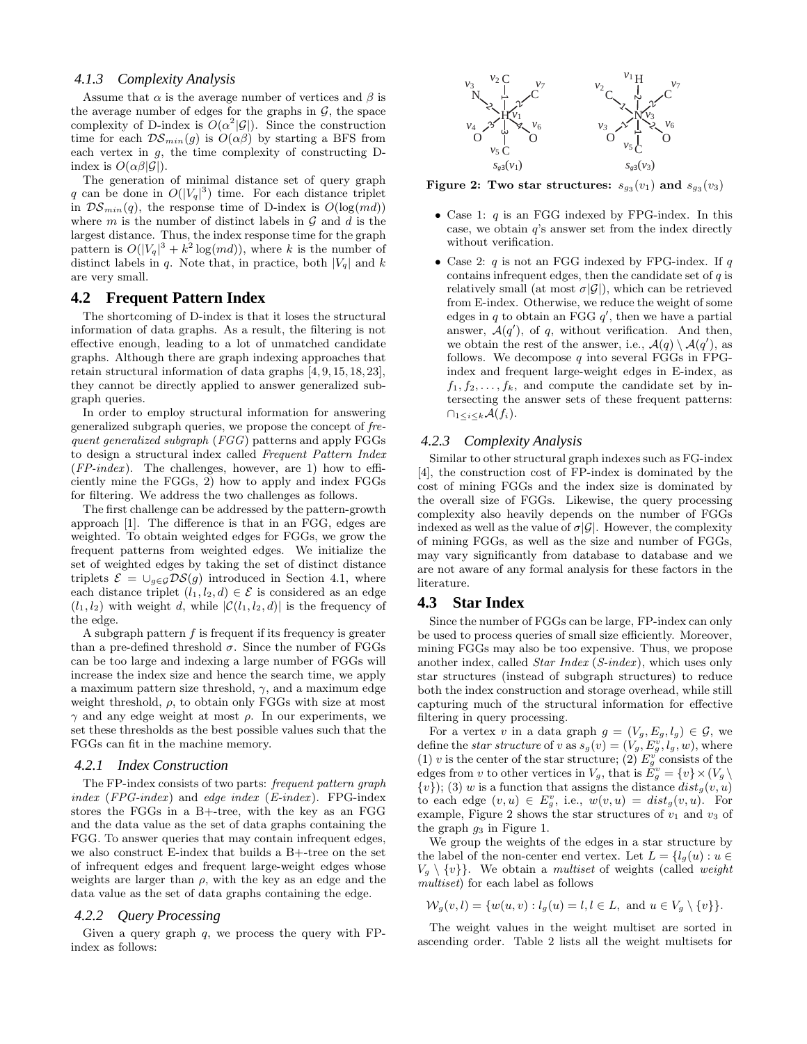#### *4.1.3 Complexity Analysis*

Assume that  $\alpha$  is the average number of vertices and  $\beta$  is the average number of edges for the graphs in  $\mathcal{G}$ , the space complexity of D-index is  $O(\alpha^2|\mathcal{G}|)$ . Since the construction time for each  $\mathcal{DS}_{min}(g)$  is  $O(\alpha\beta)$  by starting a BFS from each vertex in  $g$ , the time complexity of constructing  $D$ index is  $O(\alpha\beta|\mathcal{G}|)$ .

The generation of minimal distance set of query graph q can be done in  $O(|V_q|^3)$  time. For each distance triplet in  $\mathcal{DS}_{min}(q)$ , the response time of D-index is  $O(log(md))$ where m is the number of distinct labels in  $\mathcal G$  and d is the largest distance. Thus, the index response time for the graph pattern is  $O(|V_q|^3 + k^2 \log(md))$ , where k is the number of distinct labels in q. Note that, in practice, both  $|V_q|$  and k are very small.

#### **4.2 Frequent Pattern Index**

The shortcoming of D-index is that it loses the structural information of data graphs. As a result, the filtering is not effective enough, leading to a lot of unmatched candidate graphs. Although there are graph indexing approaches that retain structural information of data graphs [4, 9, 15, 18, 23], they cannot be directly applied to answer generalized subgraph queries.

In order to employ structural information for answering generalized subgraph queries, we propose the concept of *frequent generalized subgraph* (*FGG*) patterns and apply FGGs to design a structural index called *Frequent Pattern Index* (*FP-index* ). The challenges, however, are 1) how to efficiently mine the FGGs, 2) how to apply and index FGGs for filtering. We address the two challenges as follows.

The first challenge can be addressed by the pattern-growth approach [1]. The difference is that in an FGG, edges are weighted. To obtain weighted edges for FGGs, we grow the frequent patterns from weighted edges. We initialize the set of weighted edges by taking the set of distinct distance triplets  $\mathcal{E} = \bigcup_{g \in \mathcal{G}} \mathcal{DS}(g)$  introduced in Section 4.1, where each distance triplet  $(l_1, l_2, d) \in \mathcal{E}$  is considered as an edge  $(l_1, l_2)$  with weight d, while  $|\mathcal{C}(l_1, l_2, d)|$  is the frequency of the edge.

A subgraph pattern  $f$  is frequent if its frequency is greater than a pre-defined threshold  $\sigma$ . Since the number of FGGs can be too large and indexing a large number of FGGs will increase the index size and hence the search time, we apply a maximum pattern size threshold,  $\gamma$ , and a maximum edge weight threshold,  $\rho$ , to obtain only FGGs with size at most  $γ$  and any edge weight at most  $ρ$ . In our experiments, we set these thresholds as the best possible values such that the FGGs can fit in the machine memory.

#### *4.2.1 Index Construction*

The FP-index consists of two parts: *frequent pattern graph index* (*FPG-index*) and *edge index* (*E-index*). FPG-index stores the FGGs in a B+-tree, with the key as an FGG and the data value as the set of data graphs containing the FGG. To answer queries that may contain infrequent edges, we also construct E-index that builds a B+-tree on the set of infrequent edges and frequent large-weight edges whose weights are larger than  $\rho$ , with the key as an edge and the data value as the set of data graphs containing the edge.

#### *4.2.2 Query Processing*

Given a query graph  $q$ , we process the query with FPindex as follows:



**Figure 2: Two star structures:**  $s_{g_3}(v_1)$  and  $s_{g_3}(v_3)$ 

- Case 1:  $q$  is an FGG indexed by FPG-index. In this case, we obtain  $q$ 's answer set from the index directly without verification.
- Case 2:  $q$  is not an FGG indexed by FPG-index. If  $q$ contains infrequent edges, then the candidate set of  $q$  is relatively small (at most  $\sigma|\mathcal{G}|$ ), which can be retrieved from E-index. Otherwise, we reduce the weight of some edges in q to obtain an FGG  $q'$ , then we have a partial answer,  $\mathcal{A}(q')$ , of q, without verification. And then, we obtain the rest of the answer, i.e.,  $\mathcal{A}(q) \setminus \mathcal{A}(q')$ , as follows. We decompose  $q$  into several FGGs in FPGindex and frequent large-weight edges in E-index, as  $f_1, f_2, \ldots, f_k$ , and compute the candidate set by intersecting the answer sets of these frequent patterns:  $\bigcap_{1\leq i\leq k}\mathcal{A}(f_i).$

#### *4.2.3 Complexity Analysis*

Similar to other structural graph indexes such as FG-index [4], the construction cost of FP-index is dominated by the cost of mining FGGs and the index size is dominated by the overall size of FGGs. Likewise, the query processing complexity also heavily depends on the number of FGGs indexed as well as the value of  $\sigma|\mathcal{G}|$ . However, the complexity of mining FGGs, as well as the size and number of FGGs, may vary significantly from database to database and we are not aware of any formal analysis for these factors in the literature.

### **4.3 Star Index**

Since the number of FGGs can be large, FP-index can only be used to process queries of small size efficiently. Moreover, mining FGGs may also be too expensive. Thus, we propose another index, called *Star Index* (*S-index*), which uses only star structures (instead of subgraph structures) to reduce both the index construction and storage overhead, while still capturing much of the structural information for effective filtering in query processing.

For a vertex v in a data graph  $g = (V_g, E_g, l_g) \in \mathcal{G}$ , we define the *star structure* of v as  $s_g(v)=(V_g, E_g^v, l_g, w)$ , where (1) v is the center of the star structure; (2)  $E_g^{\nu}$  consists of the edges from v to other vertices in  $V_g$ , that is  $E_g^v = \{v\} \times (V_g \setminus$  ${v}$ ; (3) w is a function that assigns the distance  $dist<sub>g</sub>(v, u)$ to each edge  $(v, u) \in E_g^v$ , i.e.,  $w(v, u) = dist_g(v, u)$ . For example, Figure 2 shows the star structures of  $v_1$  and  $v_3$  of the graph  $g_3$  in Figure 1.

We group the weights of the edges in a star structure by the label of the non-center end vertex. Let  $L = \{l_q(u) : u \in$  $V_q \setminus \{v\}$ . We obtain a *multiset* of weights (called *weight multiset*) for each label as follows

$$
\mathcal{W}_g(v,l) = \{w(u,v) : l_g(u) = l, l \in L, \text{ and } u \in V_g \setminus \{v\}\}.
$$

The weight values in the weight multiset are sorted in ascending order. Table 2 lists all the weight multisets for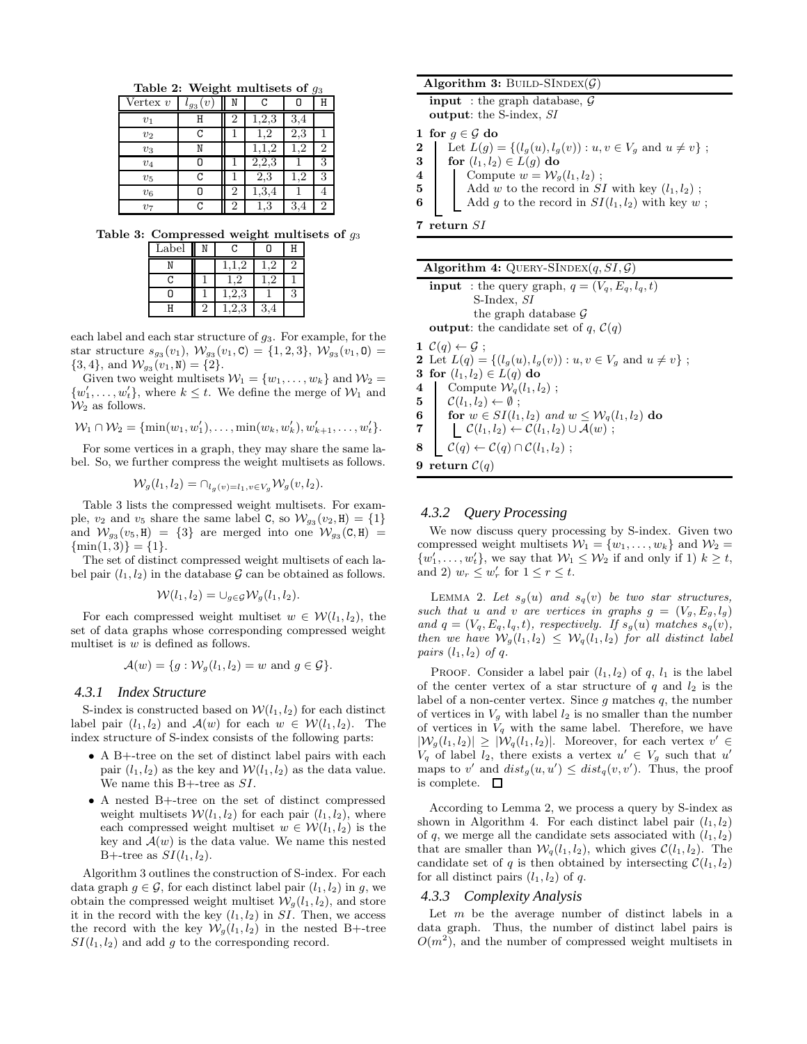**Table 2: Weight multisets of** g<sup>3</sup>

| $\overline{\text{Vertex}}\ v$ | $\boldsymbol{v}$<br>$\iota_{g_3}$ | N              | C        | 0   | Н              |
|-------------------------------|-----------------------------------|----------------|----------|-----|----------------|
| $v_1$                         | Н                                 | $\overline{2}$ | 1,2,3    | 3,4 |                |
| $v_2$                         | C                                 |                | $^{1,2}$ | 2,3 |                |
| $v_3$                         | Ν                                 |                |          | 1.2 | $\overline{2}$ |
| $v_4$                         | Ο                                 |                | 2,2,3    |     | 3              |
| $v_5$                         | С                                 |                | 2,3      | .2  | 3              |
| $v_6$                         |                                   | 2              | 1,3,4    |     |                |
| $v_7$                         | C                                 | 2              | $_{1,3}$ | 3,4 | $\overline{2}$ |

**Table 3: Compressed weight multisets of** g<sup>3</sup>

| Label | ٦   |  |
|-------|-----|--|
|       |     |  |
| ٦     |     |  |
|       | 2.3 |  |
|       |     |  |

each label and each star structure of  $q_3$ . For example, for the star structure  $s_{g_3}(v_1), \mathcal{W}_{g_3}(v_1, \mathbf{C}) = \{1, 2, 3\}, \mathcal{W}_{g_3}(v_1, \mathbf{O}) =$  $\{3, 4\}$ , and  $\mathcal{W}_{g_3}(v_1, \mathbb{N}) = \{2\}.$ 

Given two weight multisets  $W_1 = \{w_1, \ldots, w_k\}$  and  $W_2 =$  $\{w'_1, \ldots, w'_t\}$ , where  $k \leq t$ . We define the merge of  $\mathcal{W}_1$  and  $\mathcal{W}_2$  as follows.

$$
W_1 \cap W_2 = \{ \min(w_1, w'_1), \dots, \min(w_k, w'_k), w'_{k+1}, \dots, w'_t \}.
$$

For some vertices in a graph, they may share the same label. So, we further compress the weight multisets as follows.

$$
\mathcal{W}_g(l_1, l_2) = \cap_{l_g(v) = l_1, v \in V_g} \mathcal{W}_g(v, l_2).
$$

Table 3 lists the compressed weight multisets. For example,  $v_2$  and  $v_5$  share the same label C, so  $\mathcal{W}_{g_3}(v_2, H) = \{1\}$ and  $\mathcal{W}_{g_3}(v_5, H) = \{3\}$  are merged into one  $\mathcal{W}_{g_3}(C, H) =$  $\{\min(1, 3)\} = \{1\}.$ 

The set of distinct compressed weight multisets of each label pair  $(l_1, l_2)$  in the database  $\mathcal G$  can be obtained as follows.

$$
\mathcal{W}(l_1, l_2) = \cup_{g \in \mathcal{G}} \mathcal{W}_g(l_1, l_2).
$$

For each compressed weight multiset  $w \in \mathcal{W}(l_1, l_2)$ , the set of data graphs whose corresponding compressed weight multiset is  $w$  is defined as follows.

$$
\mathcal{A}(w) = \{g : \mathcal{W}_g(l_1, l_2) = w \text{ and } g \in \mathcal{G}\}.
$$

#### *4.3.1 Index Structure*

S-index is constructed based on  $W(l_1, l_2)$  for each distinct label pair  $(l_1, l_2)$  and  $\mathcal{A}(w)$  for each  $w \in \mathcal{W}(l_1, l_2)$ . The index structure of S-index consists of the following parts:

- A B+-tree on the set of distinct label pairs with each pair  $(l_1, l_2)$  as the key and  $\mathcal{W}(l_1, l_2)$  as the data value. We name this B+-tree as  $SI$ .
- A nested B+-tree on the set of distinct compressed weight multisets  $W(l_1, l_2)$  for each pair  $(l_1, l_2)$ , where each compressed weight multiset  $w \in \mathcal{W}(l_1, l_2)$  is the key and  $\mathcal{A}(w)$  is the data value. We name this nested B+-tree as  $SI(l_1, l_2)$ .

Algorithm 3 outlines the construction of S-index. For each data graph  $g \in \mathcal{G}$ , for each distinct label pair  $(l_1, l_2)$  in g, we obtain the compressed weight multiset  $\mathcal{W}_g(l_1, l_2)$ , and store it in the record with the key  $(l_1, l_2)$  in SI. Then, we access the record with the key  $\mathcal{W}_g(l_1, l_2)$  in the nested B+-tree  $SI(l_1, l_2)$  and add g to the corresponding record.

| Algorithm 3: BUILD-SINDEX( $\mathcal{G}$ )                                           |  |  |  |  |
|--------------------------------------------------------------------------------------|--|--|--|--|
| <b>input</b> : the graph database, $\mathcal{G}$<br><b>output:</b> the S-index, SI   |  |  |  |  |
| 1 for $q \in \mathcal{G}$ do                                                         |  |  |  |  |
| Let $L(g) = \{(l_g(u), l_g(v)) : u, v \in V_g \text{ and } u \neq v\}$ ;<br>$\bf{2}$ |  |  |  |  |
| for $(l_1, l_2) \in L(g)$ do<br>3                                                    |  |  |  |  |
| Compute $w = \mathcal{W}_q(l_1, l_2)$ ;<br>4                                         |  |  |  |  |
| Add w to the record in $SI$ with key $(l_1, l_2)$ ;<br>5                             |  |  |  |  |
| Add g to the record in $SI(l_1, l_2)$ with key w;<br>6                               |  |  |  |  |
| return SI                                                                            |  |  |  |  |

| Algorithm 4: QUERY-SINDEX $(q, SI, G)$ |  |  |  |
|----------------------------------------|--|--|--|
|----------------------------------------|--|--|--|

| <b>input</b> : the query graph, $q = (V_q, E_q, l_q, t)$                                  |
|-------------------------------------------------------------------------------------------|
| S-Index, SI                                                                               |
| the graph database $\mathcal G$                                                           |
| <b>output:</b> the candidate set of q, $C(q)$                                             |
| $1 \mathcal{C}(q) \leftarrow \mathcal{G}$ ;                                               |
| 2 Let $L(q) = \{ (l_q(u), l_q(v)) : u, v \in V_q \text{ and } u \neq v \}$ ;              |
| 3 for $(l_1, l_2) \in L(q)$ do                                                            |
|                                                                                           |
| 4 Compute $\mathcal{W}_q(l_1, l_2)$ ;<br>5 $\mathcal{C}(l_1, l_2) \leftarrow \emptyset$ ; |

**6 for**  $w \in SI(l_1, l_2)$  *and*  $w \le W_q(l_1, l_2)$  **do**<br>**7 f**  $\mathcal{C}(l_1, l_2) \leftarrow \mathcal{C}(l_1, l_2) \cup \mathcal{A}(w)$ ;

 $\mathcal{C}(l_1, l_2) \leftarrow \mathcal{C}(l_1, l_2) \cup \mathcal{A}(w)$ ;

**8**  $\mathcal{C}(q) \leftarrow \mathcal{C}(q) \cap \mathcal{C}(l_1, l_2)$ ;

**9** return  $C(q)$ 

#### *4.3.2 Query Processing*

We now discuss query processing by S-index. Given two compressed weight multisets  $W_1 = \{w_1, \ldots, w_k\}$  and  $W_2 =$  $\{w'_1, \ldots, w'_t\}$ , we say that  $\mathcal{W}_1 \leq \mathcal{W}_2$  if and only if 1)  $k \geq t$ , and 2)  $w_r \leq w'_r$  for  $1 \leq r \leq t$ .

LEMMA 2. Let  $s_g(u)$  and  $s_g(v)$  be two star structures, such that *u* and *v* are vertices in graphs  $g = (V_g, E_g, l_g)$ and  $q = (V_q, E_q, l_q, t)$ , respectively. If  $s_q(u)$  matches  $s_q(v)$ , *then we have*  $\mathcal{W}_g(l_1, l_2) \leq \mathcal{W}_q(l_1, l_2)$  *for all distinct label pairs*  $(l_1, l_2)$  *of*  $q$ *.* 

PROOF. Consider a label pair  $(l_1, l_2)$  of q,  $l_1$  is the label of the center vertex of a star structure of  $q$  and  $l_2$  is the label of a non-center vertex. Since  $g$  matches  $q$ , the number of vertices in  $V_q$  with label  $l_2$  is no smaller than the number of vertices in  $V_q$  with the same label. Therefore, we have  $|\mathcal{W}_g(l_1, l_2)| \geq |\mathcal{W}_g(l_1, l_2)|$ . Moreover, for each vertex  $v' \in$  $V_q$  of label  $l_2$ , there exists a vertex  $u' \in V_g$  such that u' maps to v' and  $dist_g(u, u') \leq dist_g(v, v')$ . Thus, the proof is complete.  $\square$ 

According to Lemma 2, we process a query by S-index as shown in Algorithm 4. For each distinct label pair  $(l_1, l_2)$ of q, we merge all the candidate sets associated with  $(l_1, l_2)$ that are smaller than  $\mathcal{W}_q(l_1, l_2)$ , which gives  $\mathcal{C}(l_1, l_2)$ . The candidate set of q is then obtained by intersecting  $\mathcal{C}(l_1, l_2)$ for all distinct pairs  $(l_1, l_2)$  of q.

#### *4.3.3 Complexity Analysis*

Let  $m$  be the average number of distinct labels in a data graph. Thus, the number of distinct label pairs is  $O(m^2)$ , and the number of compressed weight multisets in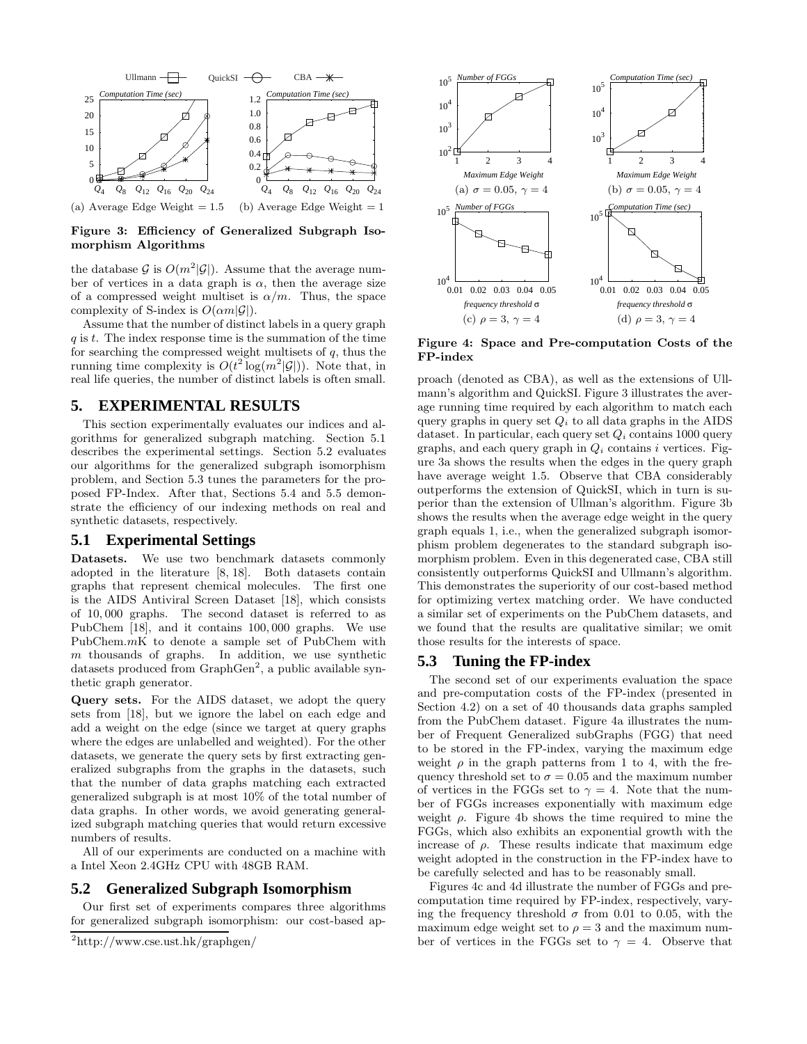

**Figure 3: Efficiency of Generalized Subgraph Isomorphism Algorithms**

the database G is  $O(m^2|\mathcal{G}|)$ . Assume that the average number of vertices in a data graph is  $\alpha$ , then the average size of a compressed weight multiset is  $\alpha/m$ . Thus, the space complexity of S-index is  $O(\alpha m|\mathcal{G}|)$ .

Assume that the number of distinct labels in a query graph  $q$  is  $t$ . The index response time is the summation of the time for searching the compressed weight multisets of  $q$ , thus the running time complexity is  $O(t^2 \log(m^2|\mathcal{G}|))$ . Note that, in real life queries, the number of distinct labels is often small.

# **5. EXPERIMENTAL RESULTS**

This section experimentally evaluates our indices and algorithms for generalized subgraph matching. Section 5.1 describes the experimental settings. Section 5.2 evaluates our algorithms for the generalized subgraph isomorphism problem, and Section 5.3 tunes the parameters for the proposed FP-Index. After that, Sections 5.4 and 5.5 demonstrate the efficiency of our indexing methods on real and synthetic datasets, respectively.

#### **5.1 Experimental Settings**

**Datasets.** We use two benchmark datasets commonly adopted in the literature [8, 18]. Both datasets contain graphs that represent chemical molecules. The first one is the AIDS Antiviral Screen Dataset [18], which consists of 10, 000 graphs. The second dataset is referred to as PubChem [18], and it contains 100, 000 graphs. We use PubChem.mK to denote a sample set of PubChem with  $m$  thousands of graphs. In addition, we use synthetic datasets produced from GraphGen<sup>2</sup>, a public available synthetic graph generator.

**Query sets.** For the AIDS dataset, we adopt the query sets from [18], but we ignore the label on each edge and add a weight on the edge (since we target at query graphs where the edges are unlabelled and weighted). For the other datasets, we generate the query sets by first extracting generalized subgraphs from the graphs in the datasets, such that the number of data graphs matching each extracted generalized subgraph is at most 10% of the total number of data graphs. In other words, we avoid generating generalized subgraph matching queries that would return excessive numbers of results.

All of our experiments are conducted on a machine with a Intel Xeon 2.4GHz CPU with 48GB RAM.

## **5.2 Generalized Subgraph Isomorphism**

Our first set of experiments compares three algorithms for generalized subgraph isomorphism: our cost-based ap-



**Figure 4: Space and Pre-computation Costs of the FP-index**

proach (denoted as CBA), as well as the extensions of Ullmann's algorithm and QuickSI. Figure 3 illustrates the average running time required by each algorithm to match each query graphs in query set  $Q_i$  to all data graphs in the AIDS dataset. In particular, each query set Q*<sup>i</sup>* contains 1000 query graphs, and each query graph in  $Q_i$  contains i vertices. Figure 3a shows the results when the edges in the query graph have average weight 1.5. Observe that CBA considerably outperforms the extension of QuickSI, which in turn is superior than the extension of Ullman's algorithm. Figure 3b shows the results when the average edge weight in the query graph equals 1, i.e., when the generalized subgraph isomorphism problem degenerates to the standard subgraph isomorphism problem. Even in this degenerated case, CBA still consistently outperforms QuickSI and Ullmann's algorithm. This demonstrates the superiority of our cost-based method for optimizing vertex matching order. We have conducted a similar set of experiments on the PubChem datasets, and we found that the results are qualitative similar; we omit those results for the interests of space.

# **5.3 Tuning the FP-index**

The second set of our experiments evaluation the space and pre-computation costs of the FP-index (presented in Section 4.2) on a set of 40 thousands data graphs sampled from the PubChem dataset. Figure 4a illustrates the number of Frequent Generalized subGraphs (FGG) that need to be stored in the FP-index, varying the maximum edge weight  $\rho$  in the graph patterns from 1 to 4, with the frequency threshold set to  $\sigma = 0.05$  and the maximum number of vertices in the FGGs set to  $\gamma = 4$ . Note that the number of FGGs increases exponentially with maximum edge weight  $\rho$ . Figure 4b shows the time required to mine the FGGs, which also exhibits an exponential growth with the increase of  $\rho$ . These results indicate that maximum edge weight adopted in the construction in the FP-index have to be carefully selected and has to be reasonably small.

Figures 4c and 4d illustrate the number of FGGs and precomputation time required by FP-index, respectively, varying the frequency threshold  $\sigma$  from 0.01 to 0.05, with the maximum edge weight set to  $\rho = 3$  and the maximum number of vertices in the FGGs set to  $\gamma = 4$ . Observe that

 $\mathrm{^{2}http://www.cse.ust.hk/graphgen/}}$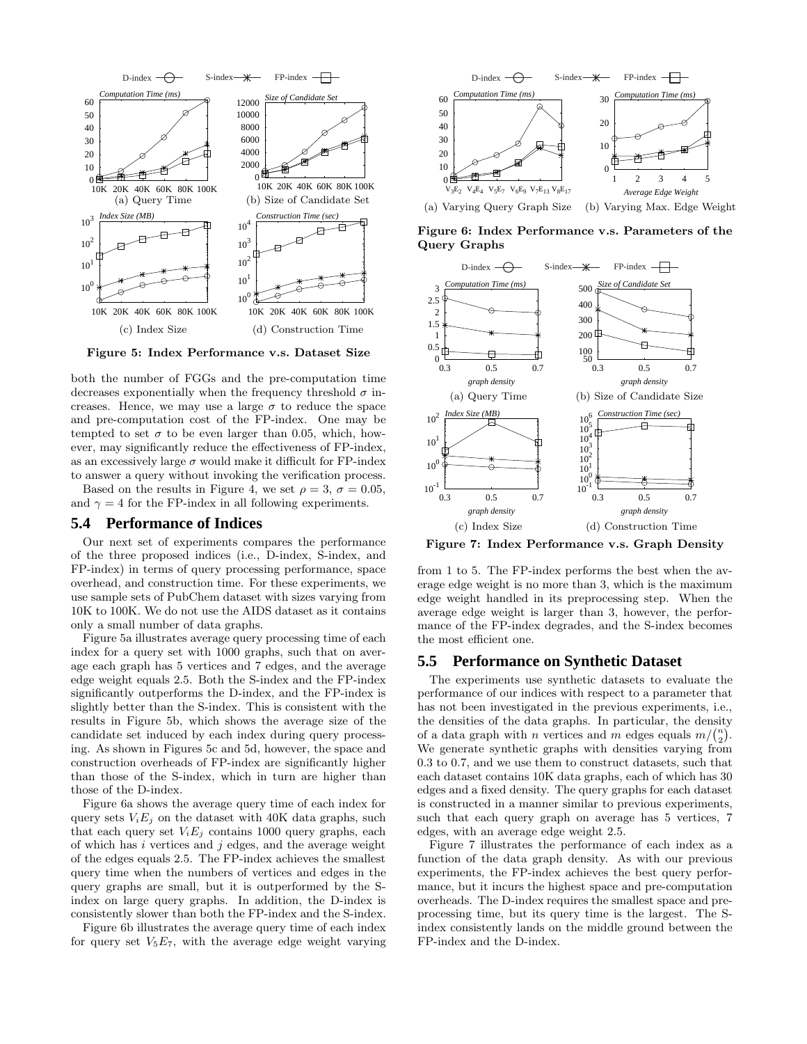

**Figure 5: Index Performance v.s. Dataset Size**

both the number of FGGs and the pre-computation time decreases exponentially when the frequency threshold  $\sigma$  increases. Hence, we may use a large  $\sigma$  to reduce the space and pre-computation cost of the FP-index. One may be tempted to set  $\sigma$  to be even larger than 0.05, which, however, may significantly reduce the effectiveness of FP-index, as an excessively large  $\sigma$  would make it difficult for FP-index to answer a query without invoking the verification process.

Based on the results in Figure 4, we set  $\rho = 3$ ,  $\sigma = 0.05$ , and  $\gamma = 4$  for the FP-index in all following experiments.

#### **5.4 Performance of Indices**

Our next set of experiments compares the performance of the three proposed indices (i.e., D-index, S-index, and FP-index) in terms of query processing performance, space overhead, and construction time. For these experiments, we use sample sets of PubChem dataset with sizes varying from 10K to 100K. We do not use the AIDS dataset as it contains only a small number of data graphs.

Figure 5a illustrates average query processing time of each index for a query set with 1000 graphs, such that on average each graph has 5 vertices and 7 edges, and the average edge weight equals 2.5. Both the S-index and the FP-index significantly outperforms the D-index, and the FP-index is slightly better than the S-index. This is consistent with the results in Figure 5b, which shows the average size of the candidate set induced by each index during query processing. As shown in Figures 5c and 5d, however, the space and construction overheads of FP-index are significantly higher than those of the S-index, which in turn are higher than those of the D-index.

Figure 6a shows the average query time of each index for query sets  $V_i E_j$  on the dataset with 40K data graphs, such that each query set  $V_iE_j$  contains 1000 query graphs, each of which has  $i$  vertices and  $j$  edges, and the average weight of the edges equals 2.5. The FP-index achieves the smallest query time when the numbers of vertices and edges in the query graphs are small, but it is outperformed by the Sindex on large query graphs. In addition, the D-index is consistently slower than both the FP-index and the S-index.

Figure 6b illustrates the average query time of each index for query set  $V_5E_7$ , with the average edge weight varying



**Figure 6: Index Performance v.s. Parameters of the Query Graphs**



**Figure 7: Index Performance v.s. Graph Density**

from 1 to 5. The FP-index performs the best when the average edge weight is no more than 3, which is the maximum edge weight handled in its preprocessing step. When the average edge weight is larger than 3, however, the performance of the FP-index degrades, and the S-index becomes the most efficient one.

## **5.5 Performance on Synthetic Dataset**

The experiments use synthetic datasets to evaluate the performance of our indices with respect to a parameter that has not been investigated in the previous experiments, i.e., the densities of the data graphs. In particular, the density of a data graph with *n* vertices and *m* edges equals  $m/(n/2)$ . We generate synthetic graphs with densities varying from 0.3 to 0.7, and we use them to construct datasets, such that each dataset contains 10K data graphs, each of which has 30 edges and a fixed density. The query graphs for each dataset is constructed in a manner similar to previous experiments, such that each query graph on average has 5 vertices, 7 edges, with an average edge weight 2.5.

Figure 7 illustrates the performance of each index as a function of the data graph density. As with our previous experiments, the FP-index achieves the best query performance, but it incurs the highest space and pre-computation overheads. The D-index requires the smallest space and preprocessing time, but its query time is the largest. The Sindex consistently lands on the middle ground between the FP-index and the D-index.